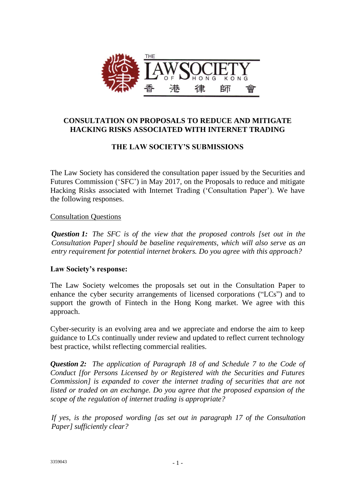

# **CONSULTATION ON PROPOSALS TO REDUCE AND MITIGATE HACKING RISKS ASSOCIATED WITH INTERNET TRADING**

# **THE LAW SOCIETY'S SUBMISSIONS**

The Law Society has considered the consultation paper issued by the Securities and Futures Commission ('SFC') in May 2017, on the Proposals to reduce and mitigate Hacking Risks associated with Internet Trading ('Consultation Paper'). We have the following responses.

#### Consultation Questions

*Question 1: The SFC is of the view that the proposed controls [set out in the Consultation Paper] should be baseline requirements, which will also serve as an entry requirement for potential internet brokers. Do you agree with this approach?*

## **Law Society's response:**

The Law Society welcomes the proposals set out in the Consultation Paper to enhance the cyber security arrangements of licensed corporations ("LCs") and to support the growth of Fintech in the Hong Kong market. We agree with this approach.

Cyber-security is an evolving area and we appreciate and endorse the aim to keep guidance to LCs continually under review and updated to reflect current technology best practice, whilst reflecting commercial realities.

*Question 2: The application of Paragraph 18 of and Schedule 7 to the Code of Conduct [for Persons Licensed by or Registered with the Securities and Futures Commission] is expanded to cover the internet trading of securities that are not listed or traded on an exchange. Do you agree that the proposed expansion of the scope of the regulation of internet trading is appropriate?*

*If yes, is the proposed wording [as set out in paragraph 17 of the Consultation Paper] sufficiently clear?*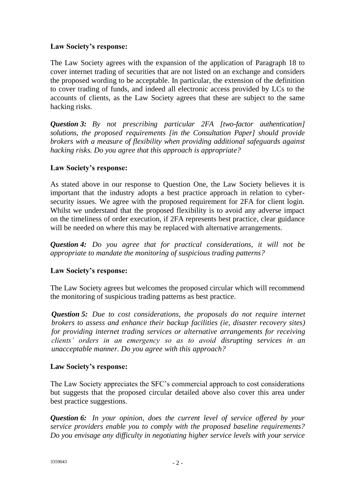## **Law Society's response:**

The Law Society agrees with the expansion of the application of Paragraph 18 to cover internet trading of securities that are not listed on an exchange and considers the proposed wording to be acceptable. In particular, the extension of the definition to cover trading of funds, and indeed all electronic access provided by LCs to the accounts of clients, as the Law Society agrees that these are subject to the same hacking risks.

*Question 3: By not prescribing particular 2FA [two-factor authentication] solutions, the proposed requirements [in the Consultation Paper] should provide brokers with a measure of flexibility when providing additional safeguards against hacking risks. Do you agree that this approach is appropriate?*

## **Law Society's response:**

As stated above in our response to Question One, the Law Society believes it is important that the industry adopts a best practice approach in relation to cybersecurity issues. We agree with the proposed requirement for 2FA for client login. Whilst we understand that the proposed flexibility is to avoid any adverse impact on the timeliness of order execution, if 2FA represents best practice, clear guidance will be needed on where this may be replaced with alternative arrangements.

*Question 4: Do you agree that for practical considerations, it will not be appropriate to mandate the monitoring of suspicious trading patterns?*

## **Law Society's response:**

The Law Society agrees but welcomes the proposed circular which will recommend the monitoring of suspicious trading patterns as best practice.

*Question 5: Due to cost considerations, the proposals do not require internet brokers to assess and enhance their backup facilities (ie, disaster recovery sites) for providing internet trading services or alternative arrangements for receiving clients' orders in an emergency so as to avoid disrupting services in an unacceptable manner. Do you agree with this approach?*

## **Law Society's response:**

The Law Society appreciates the SFC's commercial approach to cost considerations but suggests that the proposed circular detailed above also cover this area under best practice suggestions.

*Question 6: In your opinion, does the current level of service offered by your service providers enable you to comply with the proposed baseline requirements? Do you envisage any difficulty in negotiating higher service levels with your service*